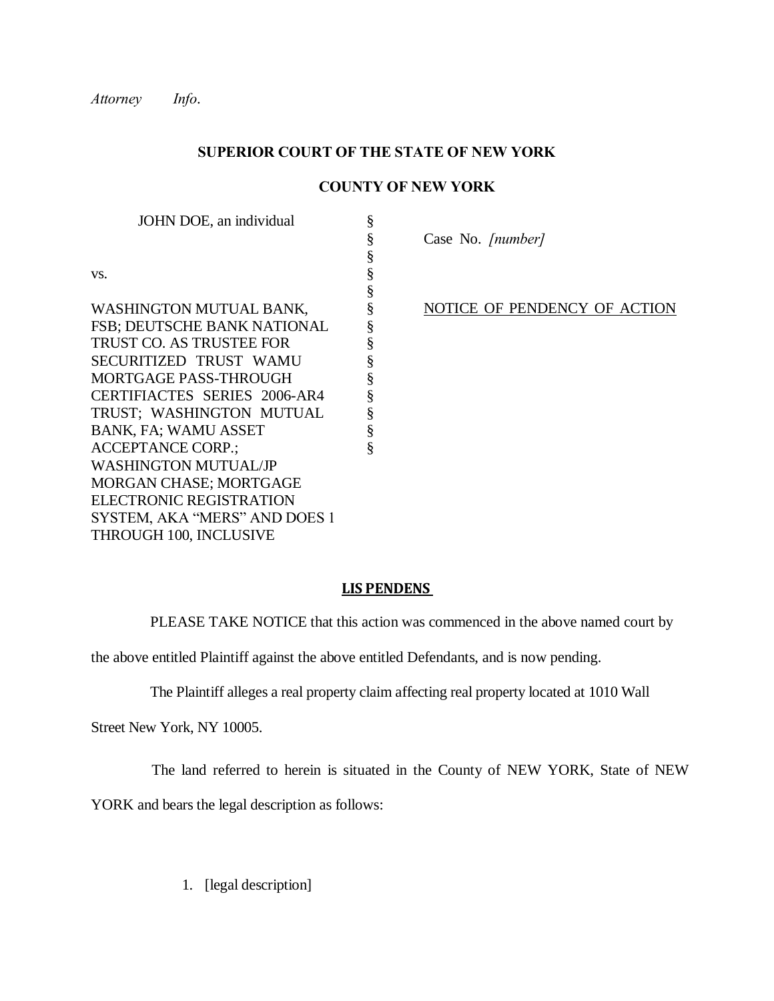*Attorney Info*.

## **SUPERIOR COURT OF THE STATE OF NEW YORK**

§

§ § §

§ § § § § § § §

## **COUNTY OF NEW YORK**

JOHN DOE, an individual

§ Case No. *[number]* 

§ NOTICE OF PENDENCY OF ACTION

| VS.                                                                                                                                                       |
|-----------------------------------------------------------------------------------------------------------------------------------------------------------|
| WASHINGTON MUTUAL BANK,<br><b>FSB; DEUTSCHE BANK NATIONAL</b><br>TRUST CO. AS TRUSTEE FOR<br>SECURITIZED TRUST WAMU<br>MORTGAGE PASS-THROUGH              |
| <b>CERTIFIACTES SERIES 2006-AR4</b><br>TRUST: WASHINGTON MUTUAL<br><b>BANK, FA; WAMU ASSET</b><br><b>ACCEPTANCE CORP.:</b><br><b>WASHINGTON MUTUAL/JP</b> |
| <b>MORGAN CHASE; MORTGAGE</b><br>ELECTRONIC REGISTRATION<br>SYSTEM, AKA "MERS" AND DOES 1<br>THROUGH 100, INCLUSIVE                                       |

## **LIS PENDENS**

PLEASE TAKE NOTICE that this action was commenced in the above named court by

the above entitled Plaintiff against the above entitled Defendants, and is now pending.

The Plaintiff alleges a real property claim affecting real property located at 1010 Wall

Street New York, NY 10005.

The land referred to herein is situated in the County of NEW YORK, State of NEW

YORK and bears the legal description as follows:

1. [legal description]